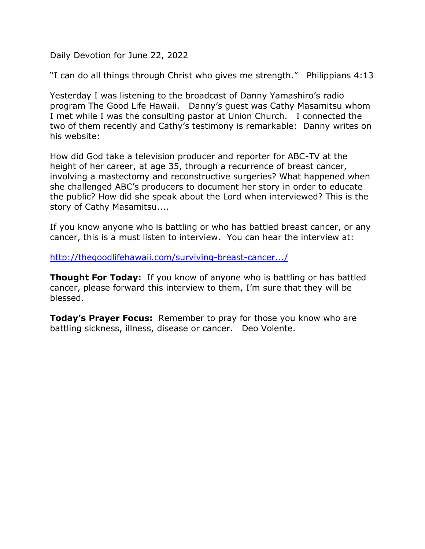Daily Devotion for June 22, 2022

"I can do all things through Christ who gives me strength." Philippians 4:13

Yesterday I was listening to the broadcast of Danny Yamashiro's radio program The Good Life Hawaii. Danny's guest was Cathy Masamitsu whom I met while I was the consulting pastor at Union Church. I connected the two of them recently and Cathy's testimony is remarkable: Danny writes on his website:

How did God take a television producer and reporter for ABC-TV at the height of her career, at age 35, through a recurrence of breast cancer, involving a mastectomy and reconstructive surgeries? What happened when she challenged ABC's producers to document her story in order to educate the public? How did she speak about the Lord when interviewed? This is the story of Cathy Masamitsu....

If you know anyone who is battling or who has battled breast cancer, or any cancer, this is a must listen to interview. You can hear the interview at:

[http://thegoodlifehawaii.com/surviving-breast-cancer.../](about:blank)

**Thought For Today:** If you know of anyone who is battling or has battled cancer, please forward this interview to them, I'm sure that they will be blessed.

**Today's Prayer Focus:** Remember to pray for those you know who are battling sickness, illness, disease or cancer. Deo Volente.